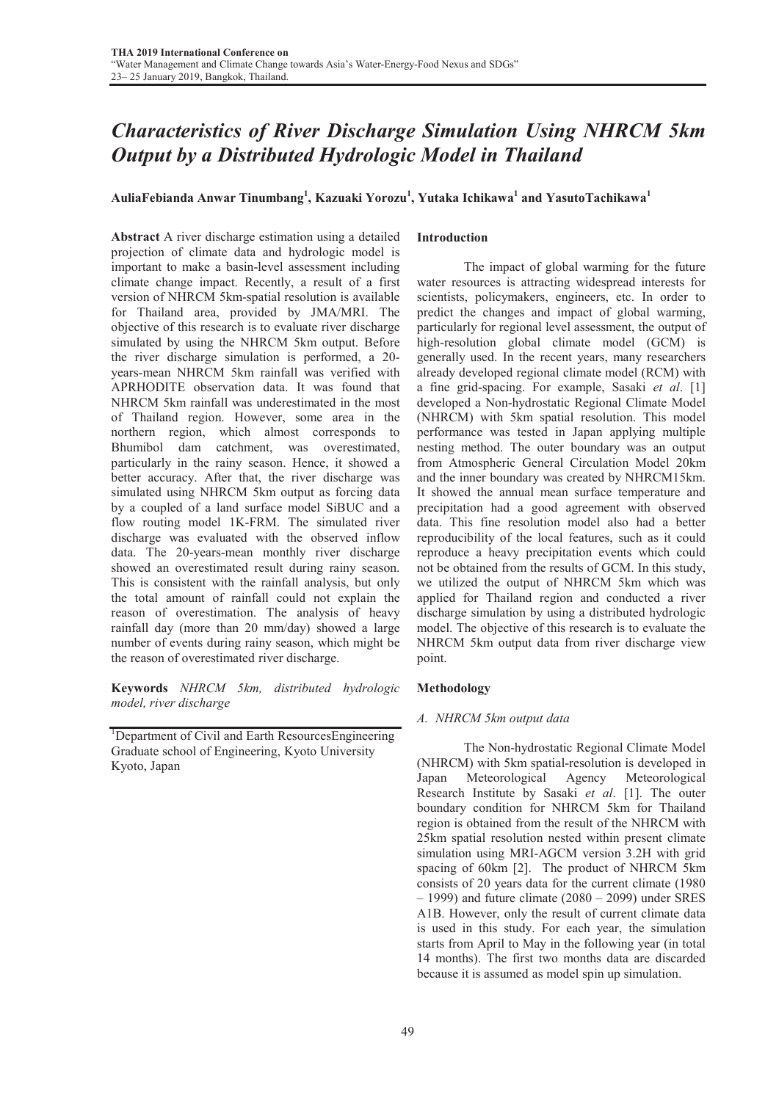# *Characteristics of River Discharge Simulation Using NHRCM 5km Output by a Distributed Hydrologic Model in Thailand*

# AuliaFebianda Anwar Tinumbang $^{\rm l}$ , Kazuaki Yorozu $^{\rm l}$ , Yutaka Ichikawa $^{\rm l}$  and YasutoTachikawa $^{\rm l}$

Abstract A river discharge estimation using a detailed projection of climate data and hydrologic model is important to make a basin-level assessment including climate change impact. Recently, a result of a first version of NHRCM 5km-spatial resolution is available for Thailand area, provided by JMA/MRI. The objective of this research is to evaluate river discharge simulated by using the NHRCM 5km output. Before the river discharge simulation is performed, a 20 years-mean NHRCM 5km rainfall was verified with APRHODITE observation data. It was found that NHRCM 5km rainfall was underestimated in the most of Thailand region. However, some area in the northern region, which almost corresponds to Bhumibol dam catchment, was overestimated, particularly in the rainy season. Hence, it showed a better accuracy. After that, the river discharge was simulated using NHRCM 5km output as forcing data by a coupled of a land surface model SiBUC and a flow routing model 1K-FRM. The simulated river discharge was evaluated with the observed inflow data. The 20-years-mean monthly river discharge showed an overestimated result during rainy season. This is consistent with the rainfall analysis, but only the total amount of rainfall could not explain the reason of overestimation. The analysis of heavy rainfall day (more than 20 mm/day) showed a large number of events during rainy season, which might be the reason of overestimated river discharge.

Keywords *NHRCM 5km, distributed hydrologic model, river discharge*

<sup>1</sup>Department of Civil and Earth ResourcesEngineering Graduate school of Engineering, Kyoto University Kyoto, Japan

## Introduction

 The impact of global warming for the future water resources is attracting widespread interests for scientists, policymakers, engineers, etc. In order to predict the changes and impact of global warming, particularly for regional level assessment, the output of high-resolution global climate model (GCM) is generally used. In the recent years, many researchers already developed regional climate model (RCM) with a fine grid-spacing. For example, Sasaki *et al*. [1] developed a Non-hydrostatic Regional Climate Model (NHRCM) with 5km spatial resolution. This model performance was tested in Japan applying multiple nesting method. The outer boundary was an output from Atmospheric General Circulation Model 20km and the inner boundary was created by NHRCM15km. It showed the annual mean surface temperature and precipitation had a good agreement with observed data. This fine resolution model also had a better reproducibility of the local features, such as it could reproduce a heavy precipitation events which could not be obtained from the results of GCM. In this study, we utilized the output of NHRCM 5km which was applied for Thailand region and conducted a river discharge simulation by using a distributed hydrologic model. The objective of this research is to evaluate the NHRCM 5km output data from river discharge view point.

## Methodology

#### *A. NHRCM 5km output data*

 The Non-hydrostatic Regional Climate Model (NHRCM) with 5km spatial-resolution is developed in Japan Meteorological Agency Meteorological Research Institute by Sasaki *et al*. [1]. The outer boundary condition for NHRCM 5km for Thailand region is obtained from the result of the NHRCM with 25km spatial resolution nested within present climate simulation using MRI-AGCM version 3.2H with grid spacing of 60km [2]. The product of NHRCM 5km consists of 20 years data for the current climate (1980 – 1999) and future climate (2080 – 2099) under SRES A1B. However, only the result of current climate data is used in this study. For each year, the simulation starts from April to May in the following year (in total 14 months). The first two months data are discarded because it is assumed as model spin up simulation.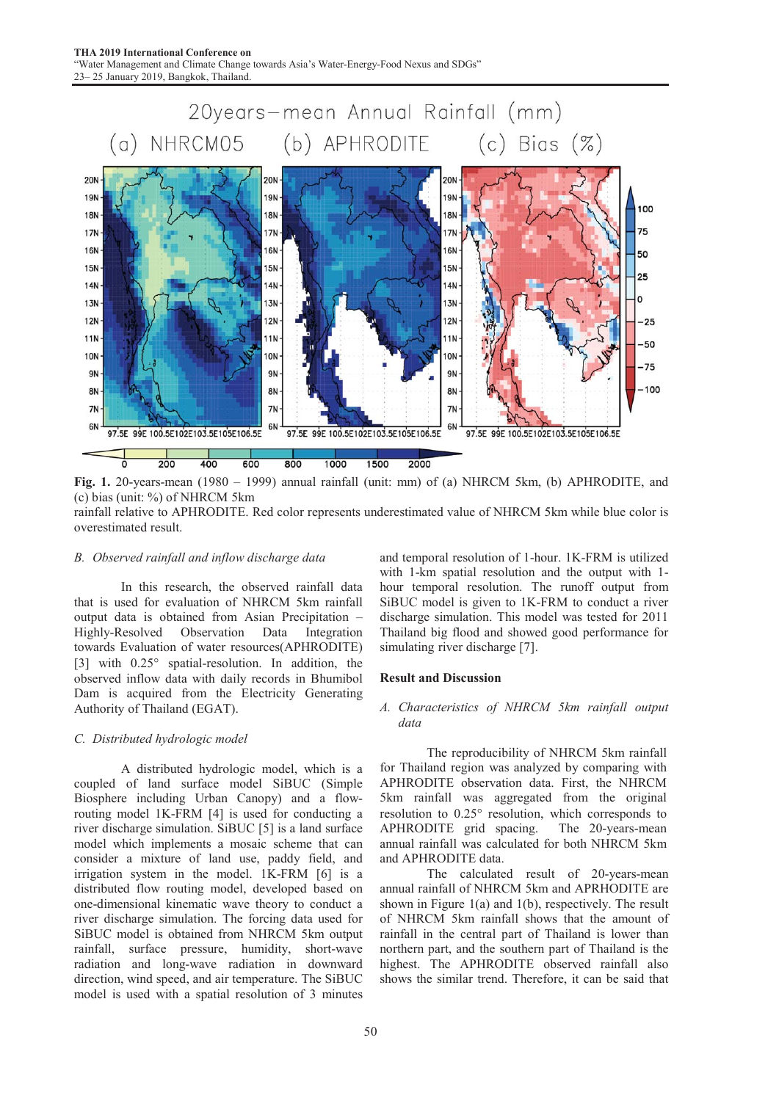

Fig. 1. 20-years-mean (1980 – 1999) annual rainfall (unit: mm) of (a) NHRCM 5km, (b) APHRODITE, and (c) bias (unit: %) of NHRCM 5km

rainfall relative to APHRODITE. Red color represents underestimated value of NHRCM 5km while blue color is overestimated result.

#### *B. Observed rainfall and inflow discharge data*

 In this research, the observed rainfall data that is used for evaluation of NHRCM 5km rainfall output data is obtained from Asian Precipitation – Highly-Resolved Observation Data Integration towards Evaluation of water resources(APHRODITE) [3] with  $0.25^{\circ}$  spatial-resolution. In addition, the observed inflow data with daily records in Bhumibol Dam is acquired from the Electricity Generating Authority of Thailand (EGAT).

## *C. Distributed hydrologic model*

 A distributed hydrologic model, which is a coupled of land surface model SiBUC (Simple Biosphere including Urban Canopy) and a flowrouting model 1K-FRM [4] is used for conducting a river discharge simulation. SiBUC [5] is a land surface model which implements a mosaic scheme that can consider a mixture of land use, paddy field, and irrigation system in the model. 1K-FRM [6] is a distributed flow routing model, developed based on one-dimensional kinematic wave theory to conduct a river discharge simulation. The forcing data used for SiBUC model is obtained from NHRCM 5km output rainfall, surface pressure, humidity, short-wave radiation and long-wave radiation in downward direction, wind speed, and air temperature. The SiBUC model is used with a spatial resolution of 3 minutes

50

and temporal resolution of 1-hour. 1K-FRM is utilized with 1-km spatial resolution and the output with 1 hour temporal resolution. The runoff output from SiBUC model is given to 1K-FRM to conduct a river discharge simulation. This model was tested for 2011 Thailand big flood and showed good performance for simulating river discharge [7].

#### Result and Discussion

## *A. Characteristics of NHRCM 5km rainfall output data*

 The reproducibility of NHRCM 5km rainfall for Thailand region was analyzed by comparing with APHRODITE observation data. First, the NHRCM 5km rainfall was aggregated from the original resolution to  $0.25^{\circ}$  resolution, which corresponds to APHRODITE grid spacing. The 20-years-mean annual rainfall was calculated for both NHRCM 5km and APHRODITE data.

 The calculated result of 20-years-mean annual rainfall of NHRCM 5km and APRHODITE are shown in Figure 1(a) and 1(b), respectively. The result of NHRCM 5km rainfall shows that the amount of rainfall in the central part of Thailand is lower than northern part, and the southern part of Thailand is the highest. The APHRODITE observed rainfall also shows the similar trend. Therefore, it can be said that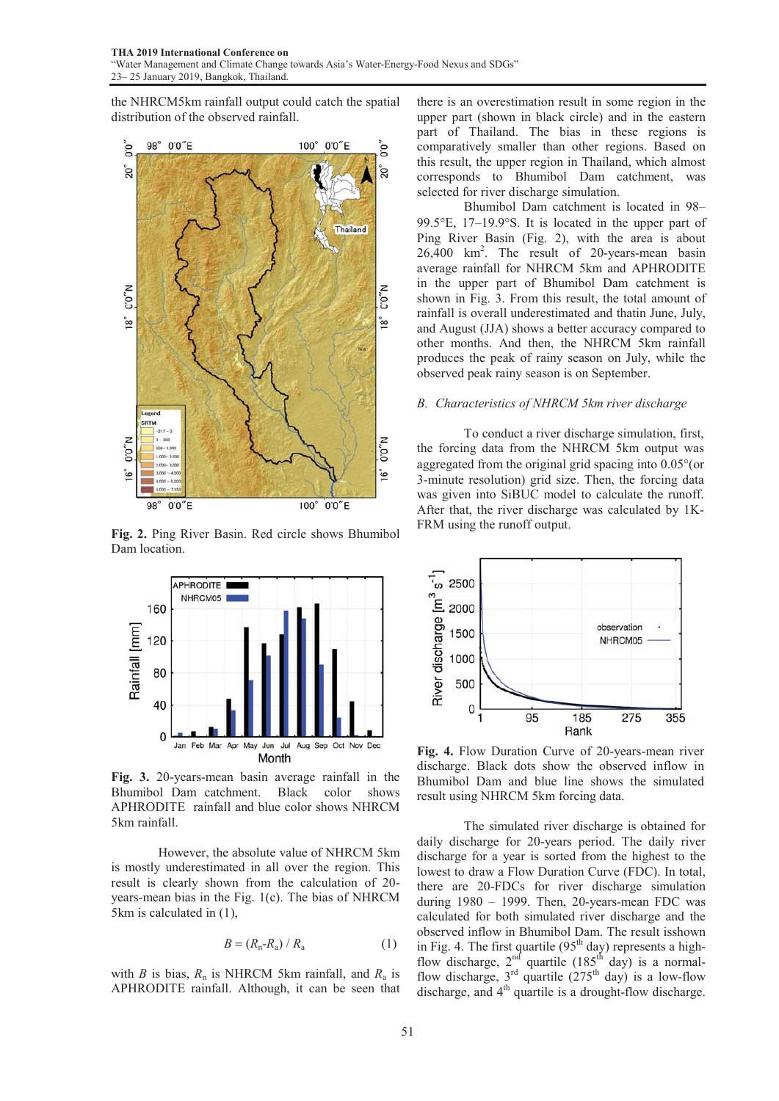the NHRCM5km rainfall output could catch the spatial distribution of the observed rainfall.



Fig. 2. Ping River Basin. Red circle shows Bhumibol Dam location.



Fig. 3. 20-years-mean basin average rainfall in the Bhumibol Dam catchment. Black color shows APHRODITE rainfall and blue color shows NHRCM 5km rainfall.

 However, the absolute value of NHRCM 5km is mostly underestimated in all over the region. This result is clearly shown from the calculation of 20 years-mean bias in the Fig. 1(c). The bias of NHRCM 5km is calculated in (1),

$$
B = (R_n - R_a) / R_a \tag{1}
$$

with *B* is bias, *R*n is NHRCM 5km rainfall, and *R*a is APHRODITE rainfall. Although, it can be seen that

there is an overestimation result in some region in the upper part (shown in black circle) and in the eastern part of Thailand. The bias in these regions is comparatively smaller than other regions. Based on this result, the upper region in Thailand, which almost corresponds to Bhumibol Dam catchment, was selected for river discharge simulation.

 Bhumibol Dam catchment is located in 98– 99.5 $\textdegree$ E, 17–19.9 $\textdegree$ S. It is located in the upper part of Ping River Basin (Fig. 2), with the area is about 26,400 km2 . The result of 20-years-mean basin average rainfall for NHRCM 5km and APHRODITE in the upper part of Bhumibol Dam catchment is shown in Fig. 3. From this result, the total amount of rainfall is overall underestimated and thatin June, July, and August (JJA) shows a better accuracy compared to other months. And then, the NHRCM 5km rainfall produces the peak of rainy season on July, while the observed peak rainy season is on September.

#### *B. Characteristics of NHRCM 5km river discharge*

 To conduct a river discharge simulation, first, the forcing data from the NHRCM 5km output was aggregated from the original grid spacing into  $0.05^{\circ}$  (or 3-minute resolution) grid size. Then, the forcing data was given into SiBUC model to calculate the runoff. After that, the river discharge was calculated by 1K-FRM using the runoff output.



Fig. 4. Flow Duration Curve of 20-years-mean river discharge. Black dots show the observed inflow in Bhumibol Dam and blue line shows the simulated result using NHRCM 5km forcing data.

 The simulated river discharge is obtained for daily discharge for 20-years period. The daily river discharge for a year is sorted from the highest to the lowest to draw a Flow Duration Curve (FDC). In total, there are 20-FDCs for river discharge simulation during 1980 – 1999. Then, 20-years-mean FDC was calculated for both simulated river discharge and the observed inflow in Bhumibol Dam. The result isshown in Fig. 4. The first quartile  $(95<sup>th</sup>$  day) represents a highflow discharge,  $2^{nd}$  quartile (185<sup>th</sup> day) is a normalflow discharge,  $3<sup>rd</sup>$  quartile  $(275<sup>th</sup>$  day) is a low-flow discharge, and 4<sup>th</sup> quartile is a drought-flow discharge.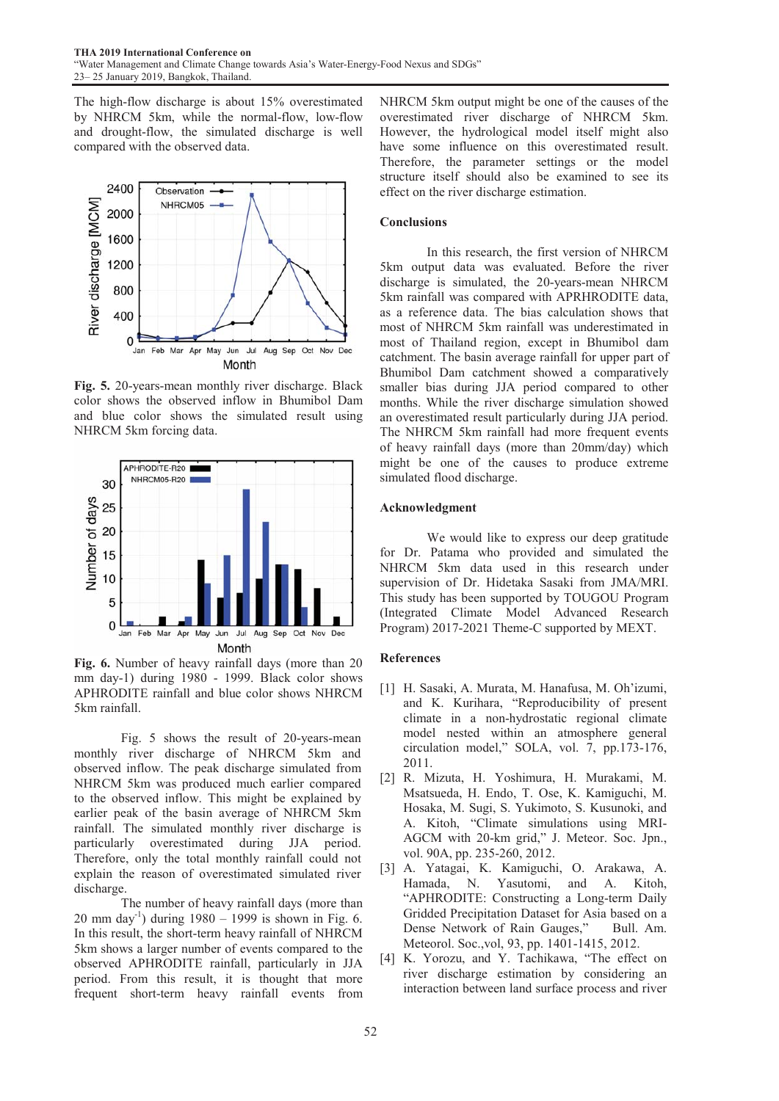The high-flow discharge is about 15% overestimated by NHRCM 5km, while the normal-flow, low-flow and drought-flow, the simulated discharge is well compared with the observed data.



Fig. 5. 20-years-mean monthly river discharge. Black color shows the observed inflow in Bhumibol Dam and blue color shows the simulated result using NHRCM 5km forcing data.



Fig. 6. Number of heavy rainfall days (more than 20 mm day-1) during 1980 - 1999. Black color shows APHRODITE rainfall and blue color shows NHRCM 5km rainfall.

 Fig. 5 shows the result of 20-years-mean monthly river discharge of NHRCM 5km and observed inflow. The peak discharge simulated from NHRCM 5km was produced much earlier compared to the observed inflow. This might be explained by earlier peak of the basin average of NHRCM 5km rainfall. The simulated monthly river discharge is particularly overestimated during JJA period. Therefore, only the total monthly rainfall could not explain the reason of overestimated simulated river discharge.

 The number of heavy rainfall days (more than 20 mm day<sup>-1</sup>) during  $1980 - 1999$  is shown in Fig. 6. In this result, the short-term heavy rainfall of NHRCM 5km shows a larger number of events compared to the observed APHRODITE rainfall, particularly in JJA period. From this result, it is thought that more frequent short-term heavy rainfall events from NHRCM 5km output might be one of the causes of the overestimated river discharge of NHRCM 5km. However, the hydrological model itself might also have some influence on this overestimated result. Therefore, the parameter settings or the model structure itself should also be examined to see its effect on the river discharge estimation.

## **Conclusions**

 In this research, the first version of NHRCM 5km output data was evaluated. Before the river discharge is simulated, the 20-years-mean NHRCM 5km rainfall was compared with APRHRODITE data, as a reference data. The bias calculation shows that most of NHRCM 5km rainfall was underestimated in most of Thailand region, except in Bhumibol dam catchment. The basin average rainfall for upper part of Bhumibol Dam catchment showed a comparatively smaller bias during JJA period compared to other months. While the river discharge simulation showed an overestimated result particularly during JJA period. The NHRCM 5km rainfall had more frequent events of heavy rainfall days (more than 20mm/day) which might be one of the causes to produce extreme simulated flood discharge.

## Acknowledgment

 We would like to express our deep gratitude for Dr. Patama who provided and simulated the NHRCM 5km data used in this research under supervision of Dr. Hidetaka Sasaki from JMA/MRI. This study has been supported by TOUGOU Program (Integrated Climate Model Advanced Research Program) 2017-2021 Theme-C supported by MEXT.

### References

- [1] H. Sasaki, A. Murata, M. Hanafusa, M. Oh'izumi, and K. Kurihara, "Reproducibility of present climate in a non-hydrostatic regional climate model nested within an atmosphere general circulation model," SOLA, vol. 7, pp.173-176, 2011.
- [2] R. Mizuta, H. Yoshimura, H. Murakami, M. Msatsueda, H. Endo, T. Ose, K. Kamiguchi, M. Hosaka, M. Sugi, S. Yukimoto, S. Kusunoki, and A. Kitoh, "Climate simulations using MRI-AGCM with 20-km grid," J. Meteor. Soc. Jpn., vol. 90A, pp. 235-260, 2012.
- [3] A. Yatagai, K. Kamiguchi, O. Arakawa, A. Hamada, N. Yasutomi, and A. Kitoh, "APHRODITE: Constructing a Long-term Daily Gridded Precipitation Dataset for Asia based on a Dense Network of Rain Gauges," Bull. Am. Meteorol. Soc.,vol, 93, pp. 1401-1415, 2012.
- [4] K. Yorozu, and Y. Tachikawa, "The effect on river discharge estimation by considering an interaction between land surface process and river